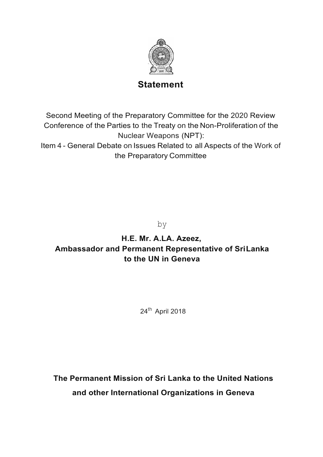

## **Statement**

Second Meeting of the Preparatory Committee for the 2020 Review Conference of the Parties to the Treaty on the Non-Proliferation of the Nuclear Weapons (NPT):

Item 4 - General Debate on Issues Related to all Aspects of the Work of the Preparatory Committee

by

# **H.E. Mr. A.LA. Azeez, Ambassador and Permanent Representative of SriLanka to the UN in Geneva**

24th April 2018

**The Permanent Mission of Sri Lanka to the United Nations and other International Organizations in Geneva**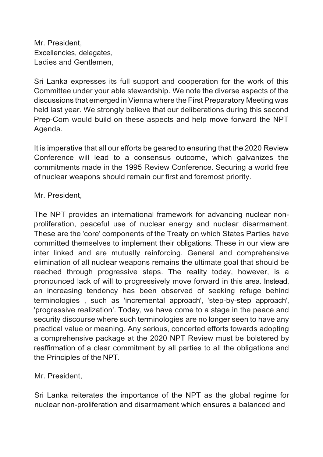Mr. President, Excellencies, delegates, Ladies and Gentlemen,

Sri Lanka expresses its full support and cooperation for the work of this Committee under your able stewardship. We note the diverse aspects of the discussions that emerged in Vienna where the First Preparatory Meeting was held last year. We strongly believe that our deliberations during this second Prep-Com would build on these aspects and help move forward the NPT Agenda.

It is imperative that all our efforts be geared to ensuring that the 2020 Review Conference will lead to a consensus outcome, which galvanizes the commitments made in the 1995 Review Conference. Securing a world free of nuclear weapons should remain our first and foremost priority.

### Mr. President,

The NPT provides an international framework for advancing nuclear nonproliferation, peaceful use of nuclear energy and nuclear disarmament. These are the 'core' components of the Treaty on which States Parties have committed themselves to implement their obligations. These in our view are inter linked and are mutually reinforcing. General and comprehensive elimination of all nuclear weapons remains the ultimate goal that should be reached through progressive steps. The reality today, however, is a pronounced lack of will to progressively move forward in this area. Instead, an increasing tendency has been observed of seeking refuge behind terminologies , such as 'incremental approach', 'step-by-step approach', 'progressive realization'. Today, we have come to a stage in the peace and security discourse where such terminologies are no longer seen to have any practical value or meaning. Any serious, concerted efforts towards adopting a comprehensive package at the 2020 NPT Review must be bolstered by reaffirmation of a clear commitment by all parties to all the obligations and the Principles of the NPT.

Mr. President,

Sri Lanka reiterates the importance of the NPT as the global regime for nuclear non-proliferation and disarmament which ensures a balanced and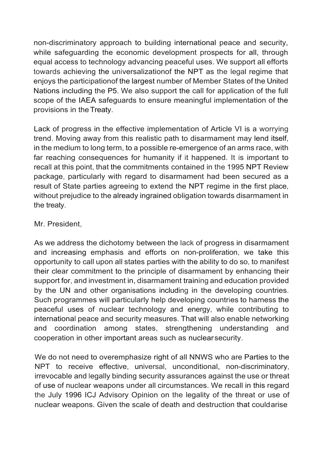non-discriminatory approach to building international peace and security, while safeguarding the economic development prospects for all, through equal access to technology advancing peaceful uses. We support all efforts towards achieving the universalizationof the NPT as the legal regime that enjoys the participationof the largest number of Member States of the United Nations including the P5. We also support the call for application of the full scope of the IAEA safeguards to ensure meaningful implementation of the provisions in theTreaty.

Lack of progress in the effective implementation of Article VI is a worrying trend. Moving away from this realistic path to disarmament may lend itself, in the medium to long term, to a possible re-emergence of an arms race, with far reaching consequences for humanity if it happened. It is important to recall at this point, that the commitments contained in the 1995 NPT Review package, particularly with regard to disarmament had been secured as a result of State parties agreeing to extend the NPT regime in the first place, without prejudice to the already ingrained obligation towards disarmament in the treaty.

#### Mr. President,

As we address the dichotomy between the lack of progress in disarmament and increasing emphasis and efforts on non-proliferation, we take this opportunity to call upon all states parties with the ability to do so, to manifest their clear commitment to the principle of disarmament by enhancing their support for, and investment in, disarmament training and education provided by the UN and other organisations including in the developing countries. Such programmes will particularly help developing countries to harness the peaceful uses of nuclear technology and energy, while contributing to international peace and security measures. That will also enable networking and coordination among states, strengthening understanding and cooperation in other important areas such as nuclearsecurity.

We do not need to overemphasize right of all NNWS who are Parties to the NPT to receive effective, universal, unconditional, non-discriminatory, irrevocable and legally binding security assurances against the use or threat of use of nuclear weapons under all circumstances. We recall in this regard the July 1996 ICJ Advisory Opinion on the legality of the threat or use of nuclear weapons. Given the scale of death and destruction that couldarise